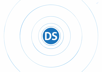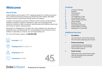### **Welcome**

#### **About Drake**

Drake Software was founded in 1977, rapidly growing from a family tax practice into a national brand by providing tax professionals with reliable, affordable software solutions and prompt, friendly service and support.

Located in the beautiful mountains of Western North Carolina, Drake Software employs tax experts, engineers, developers, cyber security professionals, educators, marketers, sales consultants, administrative and fulfillment personnel, and customer support representatives.

Along with our headquarters in Franklin, NC, Drake Software has call centers in Hayesville, Sylva, and Waynesville, NC, and development and customer service facilities in Greenville, SC, Antioch, TN, and Virginia Beach, VA.

For more information, please call **800.890.9500**.



#### **Contents 2** [Customer Ratings](#page-2-0)

- **3** [Support](#page-3-0)
- **4** [Tax Solutions](#page-4-0)
- **5** [Automation](#page-5-0)
- **6** [Tax Diagnostic Tools](#page-6-0)
- **7** [Accounting & Payroll](#page-7-0)
- **8** [Client Communications](#page-8-0)
- **9** [Client Portals](#page-9-0)
- **10** [Business Tools](#page-10-0)
- **11** [Cloud-Based Hosting](#page-11-0)
- **12** [Onboarding & Training](#page-12-0)
- **13** [Keeping You Connected](#page-13-0)

#### **Additional Services**

#### **5 [GruntWorx](#page-5-0)**

[Tax automation service that reduces](#page-5-0)  [the time spent preparing each return](#page-5-0)

#### **7 [Drake Accounting](#page-7-0)**

[Comprehensive accounting and](#page-7-0)  [payroll application that provides](#page-7-0)  [multi-location payroll](#page-7-0)

#### **9 [Drake Portals](#page-9-0)**

[Web-based client portal that enables](#page-9-0)  [safe file exchange and contactless](#page-9-0)  [tax preparation](#page-9-0)

### **Drake** Software

**Professional Tax Solutions**

**YEARS**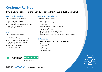### <span id="page-2-0"></span>**Customer Ratings**

#### **Drake Earns Highest Rating in 26 Categories from Four Industry Surveys!**

#### **CPA Practice Advisor**

#### **2022 Readers' Choice Awards**

- Tax Preparation Software
- Tax Planning Systems
- Document Management and Storage
- 1099/W-2 Preparation
- Client Portals for Firms

#### **NATP**

#### **2021 Tax Software Survey**

- Customer Service
- Federal Tax Law Changes/Updates
- State Tax Law Changes/Updates
- Software Conversion Package
- Technical Support
- Reliability of Software
- Customer Retention

#### **AICPA/The Tax Adviser**

#### **2021 Tax Software Survey**

- Overall Rating
- Ease of Update/Installation
- Ease of Use
- Handling Updates During Tax Season
- Ease of e-Filing
- Conversion Package
- Ease of Receiving Technical Support
- Quality of Technical Support
- Handling Retroactive Tax Law Changes During Tax Season

#### **CPA Journal**

#### **2021 Annual Survey of NY State Practitioners**

- Overall Rating
- Ease of Use
- **Accuracy**
- Value for Cost
- Customer Support



### **Drake** Software

**Professional Tax Solutions**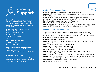<span id="page-3-0"></span>

Drake Software is known for personal and prompt customer service. Even during the height of tax season, customers are quickly connected to a customer support representative.

**Email** - [Support@DrakeSoftware.com](mailto:Support%40DrakeSoftware.com?subject=) **Phone** - 828.524.8020 **Chat** - Access within software

**Tax Season Support Hours** Mon-Fri 8 am - 10 pm (ET) Sat 8 am - 6 pm (ET)

**Off-Season Support Hours** Mon-Fri 8 am - 9 pm (ET) Sat 9 am - 5 pm (ET)

#### **Supported Operating Systems**

• Windows 10 / 11 • Windows Server 2012 / 2016 / 2019 / 2022

#### **Network Capabilities**

Whether you are an office of one or 100, it's easy to network Drake Tax with a dedicated server or peer-to-peer network.

#### **System Recommendations**



**Operating System** - Windows 10 or 11 Professional, 64-bit **Processor** - 2.5 GHz or faster multi-core processor (Intel Core i5 or equivalent) **RAM** - 4 GB or more

**Hard Drive** - 2 GB or more of available hard drive space (actual space requirements will vary based on the number of clients you serve), and solid-state hard drives (SSDs) can enhance system performance.

**Monitor** - Capable of 1920 x 1080 resolution

**Internet** - High-speed Internet is recommended for optimal software performance. **Scanner** - TWAIN-compliant scanner (for Drake Documents and GruntWorx)

#### **Minimum System Requirements**

The following minimum system requirements will support Drake Tax on most systems. For superior performance, we recommend system upgrades above the stated minimums. Actual requirements will vary based on your system configuration and the features and other programs you install.

#### **Operating System** - Windows 10

**Processor** - 1.0 GHz processor (Intel Core i3 or equivalent); ARM processors are not supported

**RAM** - 1 GB for 32-bit OS and 2 GB for 64-bit OS

**Hard Drive** - 2 GB of available hard drive space

**Optical Drive** - CD drive (only required for CD service)

**Monitor** - Capable of 1024 x 768 screen resolution

**Internet** - Internet access is required for certain features, such as e-file, software updates, online help, and PPR purchases.

**Printer** - Windows GDI (Graphical Device Interface) or HP-compatible laser printer **Browser** - Edge must be installed (other browsers such as Chrome and Firefox can be used as the default). DrakeZero does not support IE.

**Microsoft® .NET Framework** - Version 4.7 or higher

**Microsoft® .NET 6 Desktop Runtime**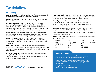### <span id="page-4-0"></span>**Tax Solutions**

#### **Productivity**

**Simple Navigation** - Quickly toggle between forms, schedules, and completed returns with clicks or keyboard shortcuts.

**Flexible Data Entry** - Choose how you enter data, define and lock fields, and determine which screens are accessible.

**Import and Transfer Data** - Streamline your workflow with time-saving features, such as import for 4562 assets, 8949 transactions, and trial balances using Excel-based templates. Eliminate keystrokes by importing electronic W-2s or exporting K-1 information from entity returns to individual returns.

**Go Paperless** - With the Drake PDF Printer, you can seamlessly print tax returns to a PDF file, encrypt them with a password, and store those files in the document manager, Drake Documents.

**Forms in Spanish** - Print numerous taxpayer forms in Spanish, including Forms 1040, 1040-SR, 2350, 4506, 7202, 14039, 14039-B, W-4, W-7, W-9, Schedule 1, Schedule 2, Schedule 3, Schedule 8812, and Schedule EIC.

**Data Entry Toolbar** - The toolbar is available on all data-entry screens, letting you use an integrated calculator, clear reminder flags, navigate between screens, and more—all without having to leave the current screen.

**Pre-CARES Act Fields** - Easily serve clients in decoupled states using **Pre-CARES Act** fields on several federal screens, like Net Operating Losses, Qualified Improvement Property depreciation, and Forms 461, 8990, and 8915.

**Compare and Plan Ahead** - Quickly compare current- and prioryear returns using federal and state comparison sheets. Analyze current- and next-year scenarios with the Tax Planner.

**Client Organizers** - Choose from three different organizers summary organizers, comprehensive organizers, and blank organizers—that can be generated as a fillable PDF and securely delivered to a client using Drake Portals.

**TheTaxBook** - Access the tax research product voted #1 for nine years in a row in the CPA Practice Advisor Readers' Choice Awards.

**Integrated Billing** - Bill by time or form and customize the format of the client's billing statement.

**Forms** - Drake Tax includes more than 6,000 federal and state forms and schedules, including:

> • 1120-H  $-4720$ • 5471

- 1040/1040-SR • 1065
- 1040-NR
- 114 (FinCEN)
- 56
- $1041$
- 1120/1120-S • 1118 • 3115
	- - 706
			- 709
			- 990/990-EZ

• 990-PF • All States

#### **You Have Options**

Drake knows that every tax practice has unique needs, which is why we give you purchasing options.

Choose the Drake Tax package that best suits your business, whether you prefer to pay as you go or need unlimited returns.

**Ready to learn more? Professional Tax Solutions** Call our sales team at **800.890.9500**.

### **Drake** Software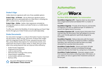#### <span id="page-5-0"></span>**Drake E-Sign**

Collect electronic signatures with one of two available options:

**Drake E-Sign – In Person** - Use an electronic signature pad to digitally sign forms associated with an e-filed return, including the 8879, consent forms, and bank documents.

**Drake E-Sign – Online** - Gather client signatures remotely by sending documents to clients via Drake Portals on a mobile device or computer.

To offer your clients the flexibility of remote signing, purchase E-Sign Events through your Drake Portals account (sold separately).

#### **Drake Documents**

Our document manager is a robust information hub for important tax documents, client records, and more. Produce PDF images with the integrated Drake PDF Printer, password-protect your files, preset default descriptions for scanned documents, and watermark documents as *final*, *review*, or *draft*. Here are some other time-saving features that can improve office efficiency:

- Drake Portals integration
- Integrated email launcher
- Links to external files
- Administrative tracking of file activity
- Import/export capabilities
- Customizable cabinets and folders
- Backup utility



*Document Management and Storage* **2022 Readers' Choice Awards**

### **Automation**

# Grunt Worx<sup>-</sup>

#### **Do More With Affordable Tax Automation**

**GruntWorx Organize LITE** - Organize client tax documents into a single bookmarked and labeled PDF in a matter of minutes.

**GruntWorx Organize** - Provide all the features and benefits of Organize LITE with an additional layer of validation to ensure the highest level of accuracy.

**GruntWorx Populate LITE** - Quickly import information from scanned client tax documents, then self-validate for accuracy with a user-friendly application specifically designed by GruntWorx.

**GruntWorx Populate** - Reduce data entry with the import product that is reviewed by US-based GruntWorx validation specialists, who verify that tax data has been accurately extracted from scanned client documents.

**GruntWorx Trades Details** - Extract and import all trade line item details from scanned consolidated brokerage statements directly into Drake Tax, saving hours of data entry.

**GruntWorx Trades Summary** - Generate category totals from scanned documents containing trades information, so your clients can see at a glance their investment activity for the tax year.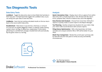### <span id="page-6-0"></span>**Tax Diagnostic Tools**

#### **Data Entry Tools**

**Drake** Software

**LookBack** - Toggle the data-entry view to show fields that had data in them last year. A simple keystroke toggles the LookBack view, so you can verify prior-year data in even less time.

**LinkBacks** - Save time by tracking calculated results on the tax return back to the source within data entry.

**DoubleCheck** - Mark items in any text box, check box, or amount on a tax form as *verified*, *flagged for review*, or *noted for review*, leaving a green check, red flag, or yellow box, respectively. If information pertaining to a verified item changes, DoubleCheck will automatically flip the green check to a red flag.

#### **Analysis**

**Quick Calculation View** - Display return info at a glance from within data entry with a simple keystroke or click. Browse info like return errors, preparer fees, refund or balance due, and e-file eligibility.

**Data Review And Analysis** - Choose from more than 100 built-in reports or quickly create a custom report in the Report Manager.

**Tax Planning** - Quickly compare tax situations for your client. Help your client make sound decisions with scenario reports.

**Filing Status Optimization** - With a few keystrokes, let Drake calculate and compare whether MFJ or MFS will be better for your client.

**Multi-Year Comparison** - Review the current-year summary side by side with the prior two years to verify accuracy and identify inconsistencies.



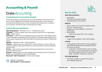### <span id="page-7-0"></span>**Accounting & Payroll**

## **Drake Accounting**

#### **Comprehensive Accounting Solution**

Drake Accounting is comprehensive accounting software that doesn't force you to choose between functionality and user experience. If you already provide accounting services or have considered providing them to expand your business, see what Drake Accounting has to offer.

#### **System Recommendations**

**Operating System** - Windows 10 or 11 Professional, 64-bit **Processor** - 2.5 GHz or faster multi-core processor (Intel Core i5 or equivalent) **RAM** - 8 GB or more

**Hard Drive** - 2 GB or more of available hard drive space plus 10-20 MB per client is recommended; a solid-state hard drive (SSD) can enhance system performance. (Actual space requirements will vary based on the type and number of clients you serve.)

**Monitor** - Capable of 1920 x 1080 resolution

**Internet** - Internet access is required for certain features, such as e-file and software updates; high-speed Internet is recommended for optimal software performance.

**Printer** - Laser printer (required if submitting printed forms to the Social Security Administration)

**Browser** - Edge browser must be installed (other browsers such as Chrome and Firefox can be installed and used as the default)

**Microsoft® .NET Framework** - Version 4.8 or higher

*1099/W-2 Preparation* **2022 Readers' Choice Awards**



#### **New for 2022**

#### **Bank Reconcilitation**

- Bulk delete
- Full bank reconciliation delete
- Finalized bank reconciliations

#### **Reports**

- Report options can now be saved per client, per user, and per report
- Images can now be added to invoices in Receivables
- New reports
	- ° Chart of Accounts Prior Year Compare

#### **Check Designs**

• Images can be added to new check designs

#### **e-Filing**

- A link appears at the bottom of the navigation tree when pending acks are available for 94x
- NC server-to-server
	- ° In Q4 2021 and 2022 there is now no need to contact us to be allow listed to access the free direct upload of North Carolina 1099- MISC, 1099-NEC, 1099-R, W-2 and NC-3

#### **Patching/Updating**

• Automatic updates at night when patches are available (optional)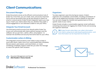### <span id="page-8-0"></span>**Client Communications**

#### **Document Manager**

Drake Documents serves as the efficient communications hub of Drake Tax. From here, you can create, store, and access important forms and tax documents that can be sent directly to clients via email or a secure portal. Drake Portals integration opens up a new way to "meet" your clients where they are, whether they prefer a virtual engagement or are otherwise unable to visit your office.

#### **Integrate Your Email Account**

Use third-party email accounts from directly within Drake Tax, so you can communicate with clients without having to exit the software. Set up user tiers—admin, office, and preparer—to maintain the workflow and security that works best for your office.

#### **Customizable Letters & Billing**

The integrated communications suite makes it easy to keep in touch with clients. Select one of our customizable letter templates, like pre-season, post-season, and result letters, or create something completely original. Drake lets you tailor the message to match the specific client situation.

#### **Organizers**

Tax data organizers save time during tax season. Drake's organizers are completely customizable, including a breakdown of what can be added and removed, as well as details for each item. You can even change the checklist and questionnaire to fit the specific needs of your clients.

Drake Portals includes a customizable organizer email notification containing instructions for logging into Drake Portals and accessing the organizer download.

**TIP:** Drake Portals subscribers can collect information from clients using secure web-based questionnaires—and that information can be imported into Drake Tax.





*Document Management and Storage* **2022 Readers' Choice Awards**

### **Drake** Software

**Professional Tax Solutions**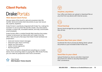### <span id="page-9-0"></span>**Client Portals**

# **Drake Portals**

#### **Web-Based Client Portal**

Get your piece of the cloud for safe and convenient client file transfer. Send and receive client documents on your own secure site, anytime, anywhere.

Drake Portals is seamlessly integrated with Drake Tax, making the transition to secure online file transfer simple. The subscription includes a unique URL, brandable website, and fully customizable email templates.

Drake Portals offers a mobile-friendly Web interface that makes it easier to serve your tax clients who can't make it into the office. Here are just a few ways that Drake Portals facilitates tax preparation:

- Send and receive instant messages
- Send prior-year return summary
- Gather tax information
- Collect remote signatures
- Receive payment

Your clients are used to doing almost everything on a mobile device, from streaming videos to paying bills. With Drake Portals, you can make tax preparation even more convenient.





#### **Anytime, anywhere**

Your office and clients can upload or download files at any time from any device with Internet access.



#### **Cloud backup**

Secure cloud storage lets you back up important Drake files off-site.



#### **Receive files from your client**

Accelerate the return process by letting clients upload documents to your branded Drake Portals site.

#### **Send files to your client**

Upload finished tax returns and other important documents for clients to securely download at their convenience.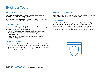### <span id="page-10-0"></span>**Business Tools**

#### **Preparer Security**

**Administrator Features** - Control access and choose security settings on an individual or group basis.

**Multi-Factor Authentication** - Secure your Drake Tax account with a supported third-party multi-factor authentication service.

#### **Track Workflow**

**Client Status Manager (CSM)** - Organize and prioritize the day:

- View, search, and filter your client list
- Manage productivity with preparer tracking and reporting
- Track return details, from preparer efficiency to billing revenue
- Assign colors to return statuses to easily see your daily workload at a glance

#### **Stay On Schedule**

**Appointment Scheduler** - Schedule client appointments, send email reminders, and manage employee schedules. Color-coded appointments and the ability to synchronize with outside calendars make managing client appointments easier than ever.

#### **Real-Time Web Reports**

Track your e-filed returns with online reporting through your Drake User Account on Support.DrakeSoftware.com.

#### **Fee Collection**

Accept credit and debit card payments directly in Drake Tax by enrolling with our merchant-account provider, EPS. The fully integrated Drake E-Sign feature makes accepting client signatures for payments and returns easy. And with Drake Accounting, you can set up direct deposit for clients in the Accounts Payable module.



### **Drake** Software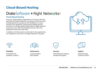### <span id="page-11-0"></span>**Cloud-Based Hosting**

# DrakeSoftware + Right Netwerks<sup>®</sup>

#### **Cloud-Based Hosting**

Host your Drake Software applications in the cloud. We have partnered with Right Networks to provide a world-class cloud hosting experience and give you the flexibility to run your business from anywhere. Using industry-leading security processes and 90-day nightly rolling backups, Right Networks ensures you can safely and reliably access your files and applications when you need them.

In addition to Drake products, other best-in-class applications are available for purchase in the Right Networks ecosystem.





#### **Flexibility**

Accessible from anywhere, anytime



**Performance** Latest hardware and software



**Security**

Monitoring and industrystandard encryption



**Support** Award-winning

customer service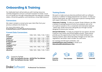### <span id="page-12-0"></span>**Onboarding & Training**

Our dedicated team will provide you with training resources carefully designed to ensure a smooth transition to Drake. Count on us to guide you through onboarding with live webcasts, training videos, conversion guidance, and interactive, virtual Q&A sessions.

#### **Conversions**

We make it simple to convert prior-year client files from your previous software into Drake Tax.

For more information, visit **[DrakeSoftware.com/Products/Conversions](https://www.drakesoftware.com/products/conversions/)**.

#### **Current Data Conversions**

#### **Training Events**

We want to make sure you become proficient with our software products in addition to being prepared for tax season. To help you achieve these goals, we offer virtual and in-person training events with expert instructors. CPE is available.

**Classroom Training** - To help you master Drake Software, we offer a variety of training sessions on all of our products. Join us for an in-person session or for a convenient and interactive webcast - either way, Drake instructors will guide you through courses designed to ensure your success.

**Annual Fall Events** - To help you prepare for tax season, we host in-person user events and virtual update schools. These events provide you the opportunity to hear from Drake Software and industry experts, learn about the latest changes to tax laws and regulations, see what's new in Drake Tax, and more.

For training and fall event schedules, visit **[DrakeSoftware.com/Training](https://www.drakesoftware.com/training)** or email us at **[Education@DrakeSoftware.com](mailto:Education%40DrakeSoftware.com?subject=)**.



*Conversion Package*

**2021 Tax Software Survey - AICPA/The Tax Adviser 2021 Tax Software Survey - NATP**











**Tax Courses Webinars Tutorials**

**Practice Returns**

### **Drake** Software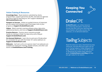#### <span id="page-13-0"></span>**Online Training & Resources**

**Knowledge Base** - Read solutions submitted by clients, programmers, support personnel, the IRS, and state tax agencies any time of day by searching our 24/7 support database at **[KB.DrakeSoftware.com](https://kb.drakesoftware.com/)**.

**Passport to Success** - Follow our guided itinerary of important pre-tax season and software topics that keeps track of your progress at **[Support.DrakeSoftware.com](https://support.drakesoftware.com/)**.

**Videos** - Watch tutorials covering software setup, data entry, additional products, and more at **[Support.DrakeSoftware.com](https://support.drakesoftware.com/)**.

**Practice Returns** - Practice return scenarios provide hands-on training in Drake Tax data entry and e-filing at **[Support.DrakeSoftware.com](https://support.drakesoftware.com/)**.

**On-Demand Webinars** - Learn the ins and outs of Drake when it's convenient for you with the Drake 101 series webinars on **[Support.DrakeSoftware.com](https://support.drakesoftware.com/)**.

**Webcasts** - Can't join us for an in-person class? Live webcasts are available for Classroom Training, Update Schools, and other user events at **[DrakeSoftware.com/Training](https://www.drakesoftware.com/training)**.

### **Keeping You Connected**



# **DrakeCPE**

**[DrakeCPE.com](https://www.drakecpe.com/)** is an online resource for continuing education. Choose the format that best suits your learning style and schedule: self-study courses, live webinars, or on-demand webinars.

# **Taxing Subjects**

Read the latest tax news, download tax-prep resources, and see what your peers are up to on Taxing Subjects, Drake Software's tax blog. Whether you want to find IRS tax tips or download the newest desk reference guide, **[DrakeSoftware.com/Blog](https://www.drakesoftware.com/blog)** will help you get ready for tax season.